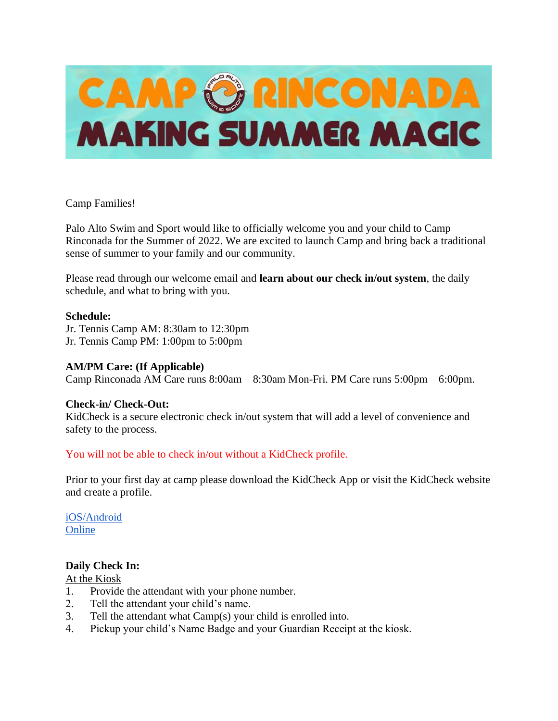

# Camp Families!

Palo Alto Swim and Sport would like to officially welcome you and your child to Camp Rinconada for the Summer of 2022. We are excited to launch Camp and bring back a traditional sense of summer to your family and our community.

Please read through our welcome email and **learn about our check in/out system**, the daily schedule, and what to bring with you.

#### **Schedule:**

Jr. Tennis Camp AM: 8:30am to 12:30pm Jr. Tennis Camp PM: 1:00pm to 5:00pm

## **AM/PM Care: (If Applicable)**

Camp Rinconada AM Care runs 8:00am – 8:30am Mon-Fri. PM Care runs 5:00pm – 6:00pm.

#### **Check-in/ Check-Out:**

KidCheck is a secure electronic check in/out system that will add a level of convenience and safety to the process.

#### You will not be able to check in/out without a KidCheck profile.

Prior to your first day at camp please download the KidCheck App or visit the KidCheck website and create a profile.

[iOS/Android](https://go.kidcheck.com/kcmobileapp.html?Name=Team%20Sheeper&ID=11193) [Online](https://go.kidcheck.com/signin.aspx?action=register&customerid=11193&logoid=11193)

# **Daily Check In:**

#### At the Kiosk

- 1. Provide the attendant with your phone number.
- 2. Tell the attendant your child's name.
- 3. Tell the attendant what Camp(s) your child is enrolled into.
- 4. Pickup your child's Name Badge and your Guardian Receipt at the kiosk.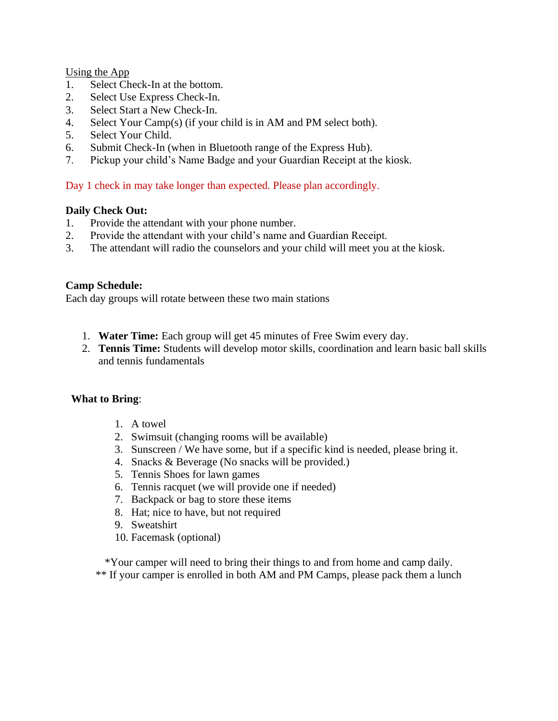Using the App

- 1. Select Check-In at the bottom.
- 2. Select Use Express Check-In.
- 3. Select Start a New Check-In.
- 4. Select Your Camp(s) (if your child is in AM and PM select both).
- 5. Select Your Child.
- 6. Submit Check-In (when in Bluetooth range of the Express Hub).
- 7. Pickup your child's Name Badge and your Guardian Receipt at the kiosk.

# Day 1 check in may take longer than expected. Please plan accordingly.

#### **Daily Check Out:**

- 1. Provide the attendant with your phone number.
- 2. Provide the attendant with your child's name and Guardian Receipt.
- 3. The attendant will radio the counselors and your child will meet you at the kiosk.

#### **Camp Schedule:**

Each day groups will rotate between these two main stations

- 1. **Water Time:** Each group will get 45 minutes of Free Swim every day.
- 2. **Tennis Time:** Students will develop motor skills, coordination and learn basic ball skills and tennis fundamentals

#### **What to Bring**:

- 1. A towel
- 2. Swimsuit (changing rooms will be available)
- 3. Sunscreen / We have some, but if a specific kind is needed, please bring it.
- 4. Snacks & Beverage (No snacks will be provided.)
- 5. Tennis Shoes for lawn games
- 6. Tennis racquet (we will provide one if needed)
- 7. Backpack or bag to store these items
- 8. Hat; nice to have, but not required
- 9. Sweatshirt
- 10. Facemask (optional)

\*Your camper will need to bring their things to and from home and camp daily. \*\* If your camper is enrolled in both AM and PM Camps, please pack them a lunch